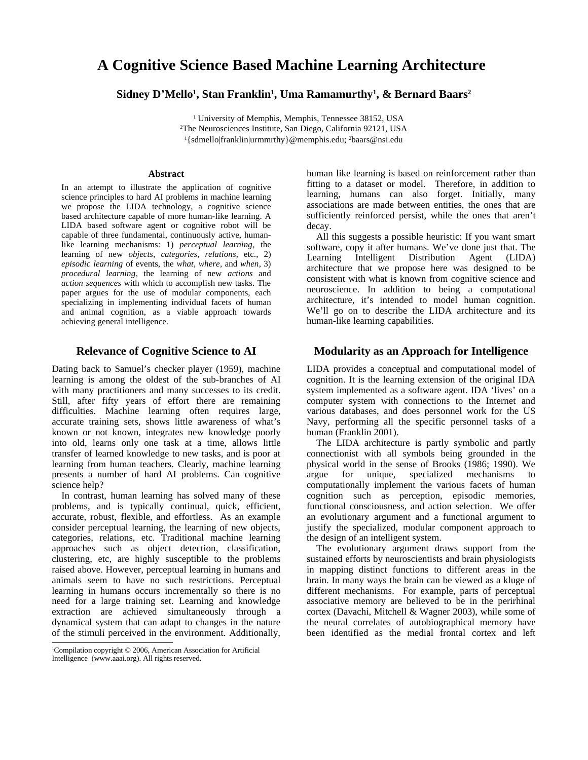# **A Cognitive Science Based Machine Learning Architecture [1](#page-0-0)**

# **Sidney D'Mello 1 , Stan Franklin 1 , Uma Ramamurthy 1 , & Bernard Baars 2**

<sup>1</sup> University of Memphis, Memphis, Tennessee 38152, USA <sup>2</sup>The Neurosciences Institute, San Diego, California 92121, USA <sup>1</sup>{sdmello|franklin|urmmrthy}@memphis.edu; <sup>2</sup>baars@nsi.edu

#### **Abstract**

In an attempt to illustrate the application of cognitive science principles to hard AI problems in machine learning we propose the LIDA technology, a cognitive science based architecture capable of more human-like learning. A LIDA based software agent or cognitive robot will be capable of three fundamental, continuously active, humanlike learning mechanisms: 1) *perceptual learning*, the learning of new *objects*, *categories*, *relations*, etc., 2) *episodic learning* of events, the *what*, *where*, and *when*, 3) *procedural learning*, the learning of new *actions* and *action sequences* with which to accomplish new tasks. The paper argues for the use of modular components, each specializing in implementing individual facets of human and animal cognition, as a viable approach towards achieving general intelligence.

# **Relevance of Cognitive Science to AI**

Dating back to Samuel's checker player (1959), machine learning is among the oldest of the sub-branches of AI with many practitioners and many successes to its credit. Still, after fifty years of effort there are remaining difficulties. Machine learning often requires large, accurate training sets, shows little awareness of what's known or not known, integrates new knowledge poorly into old, learns only one task at a time, allows little transfer of learned knowledge to new tasks, and is poor at learning from human teachers. Clearly, machine learning presents a number of hard AI problems. Can cognitive science help?

In contrast, human learning has solved many of these problems, and is typically continual, quick, efficient, accurate, robust, flexible, and effortless. As an example consider perceptual learning, the learning of new objects, categories, relations, etc. Traditional machine learning approaches such as object detection, classification, clustering, etc, are highly susceptible to the problems raised above. However, perceptual learning in humans and animals seem to have no such restrictions. Perceptual learning in humans occurs incrementally so there is no need for a large training set. Learning and knowledge extraction are achieved simultaneously through a dynamical system that can adapt to changes in the nature of the stimuli perceived in the environment. Additionally, human like learning is based on reinforcement rather than fitting to a dataset or model. Therefore, in addition to learning, humans can also forget. Initially, many associations are made between entities, the ones that are sufficiently reinforced persist, while the ones that aren't decay.

All this suggests a possible heuristic: If you want smart software, copy it after humans. We've done just that. The Learning Intelligent Distribution Agent (LIDA) architecture that we propose here was designed to be consistent with what is known from cognitive science and neuroscience. In addition to being a computational architecture, it's intended to model human cognition. We'll go on to describe the LIDA architecture and its human-like learning capabilities.

### **Modularity as an Approach for Intelligence**

LIDA provides a conceptual and computational model of cognition. It is the learning extension of the original IDA system implemented as a software agent. IDA 'lives' on a computer system with connections to the Internet and various databases, and does personnel work for the US Navy, performing all the specific personnel tasks of a human (Franklin 2001).

The LIDA architecture is partly symbolic and partly connectionist with all symbols being grounded in the physical world in the sense of Brooks (1986; 1990). We argue for unique, specialized mechanisms to computationally implement the various facets of human cognition such as perception, episodic memories, functional consciousness, and action selection. We offer an evolutionary argument and a functional argument to justify the specialized, modular component approach to the design of an intelligent system.

The evolutionary argument draws support from the sustained efforts by neuroscientists and brain physiologists in mapping distinct functions to different areas in the brain. In many ways the brain can be viewed as a kluge of different mechanisms. For example, parts of perceptual associative memory are believed to be in the perirhinal cortex (Davachi, Mitchell & Wagner 2003), while some of the neural correlates of autobiographical memory have been identified as the medial frontal cortex and left

<span id="page-0-0"></span><sup>1</sup>Compilation copyright © 2006, American Association for Artificial Intelligence (www.aaai.org). All rights reserved.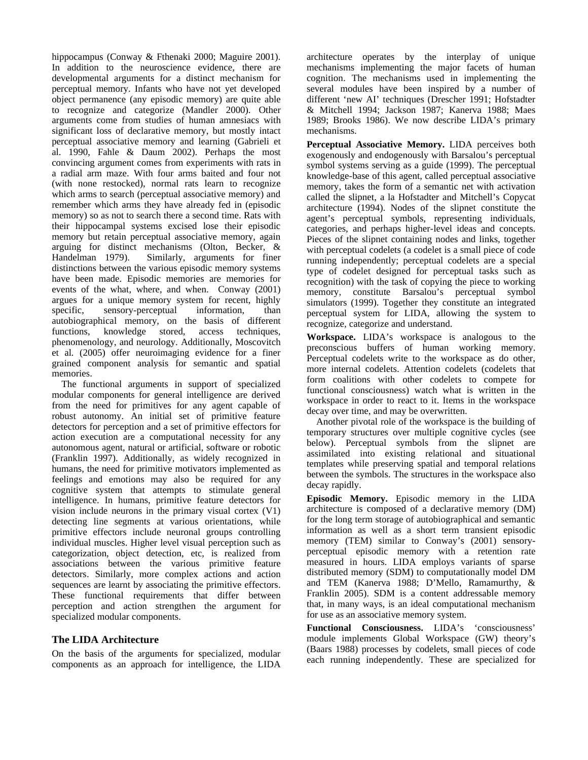hippocampus (Conway & Fthenaki 2000; Maguire 2001). In addition to the neuroscience evidence, there are developmental arguments for a distinct mechanism for perceptual memory. Infants who have not yet developed object permanence (any episodic memory) are quite able to recognize and categorize (Mandler 2000). Other arguments come from studies of human amnesiacs with significant loss of declarative memory, but mostly intact perceptual associative memory and learning (Gabrieli et al. 1990, Fahle & Daum 2002). Perhaps the most convincing argument comes from experiments with rats in a radial arm maze. With four arms baited and four not (with none restocked), normal rats learn to recognize which arms to search (perceptual associative memory) and remember which arms they have already fed in (episodic memory) so as not to search there a second time. Rats with their hippocampal systems excised lose their episodic memory but retain perceptual associative memory, again arguing for distinct mechanisms (Olton, Becker, & Similarly, arguments for finer distinctions between the various episodic memory systems have been made. Episodic memories are memories for events of the what, where, and when. Conway (2001) argues for a unique memory system for recent, highly specific, sensory-perceptual information, than specific, sensory-perceptual information, than autobiographical memory, on the basis of different functions, knowledge stored, access techniques, phenomenology, and neurology. Additionally, Moscovitch et al. (2005) offer neuroimaging evidence for a finer grained component analysis for semantic and spatial memories.

The functional arguments in support of specialized modular components for general intelligence are derived from the need for primitives for any agent capable of robust autonomy. An initial set of primitive feature detectors for perception and a set of primitive effectors for action execution are a computational necessity for any autonomous agent, natural or artificial, software or robotic (Franklin 1997). Additionally, as widely recognized in humans, the need for primitive motivators implemented as feelings and emotions may also be required for any cognitive system that attempts to stimulate general intelligence. In humans, primitive feature detectors for vision include neurons in the primary visual cortex (V1) detecting line segments at various orientations, while primitive effectors include neuronal groups controlling individual muscles. Higher level visual perception such as categorization, object detection, etc, is realized from associations between the various primitive feature detectors. Similarly, more complex actions and action sequences are learnt by associating the primitive effectors. These functional requirements that differ between perception and action strengthen the argument for specialized modular components.

# **The LIDA Architecture**

On the basis of the arguments for specialized, modular components as an approach for intelligence, the LIDA

architecture operates by the interplay of unique mechanisms implementing the major facets of human cognition. The mechanisms used in implementing the several modules have been inspired by a number of different 'new AI' techniques (Drescher 1991; Hofstadter & Mitchell 1994; Jackson 1987; Kanerva 1988; Maes 1989; Brooks 1986). We now describe LIDA's primary mechanisms.

**Perceptual Associative Memory.** LIDA perceives both exogenously and endogenously with Barsalou's perceptual symbol systems serving as a guide (1999). The perceptual knowledge-base of this agent, called perceptual associative memory, takes the form of a semantic net with activation called the slipnet, a la Hofstadter and Mitchell's Copycat architecture (1994). Nodes of the slipnet constitute the agent's perceptual symbols, representing individuals, categories, and perhaps higher-level ideas and concepts. Pieces of the slipnet containing nodes and links, together with perceptual codelets (a codelet is a small piece of code running independently; perceptual codelets are a special type of codelet designed for perceptual tasks such as recognition) with the task of copying the piece to working memory, constitute Barsalou's perceptual symbol simulators (1999). Together they constitute an integrated perceptual system for LIDA, allowing the system to recognize, categorize and understand.

**Workspace.** LIDA's workspace is analogous to the preconscious buffers of human working memory. Perceptual codelets write to the workspace as do other, more internal codelets. Attention codelets (codelets that form coalitions with other codelets to compete for functional consciousness) watch what is written in the workspace in order to react to it. Items in the workspace decay over time, and may be overwritten.

Another pivotal role of the workspace is the building of temporary structures over multiple cognitive cycles (see below). Perceptual symbols from the slipnet are assimilated into existing relational and situational templates while preserving spatial and temporal relations between the symbols. The structures in the workspace also decay rapidly.

**Episodic Memory.** Episodic memory in the LIDA architecture is composed of a declarative memory (DM) for the long term storage of autobiographical and semantic information as well as a short term transient episodic memory (TEM) similar to Conway's (2001) sensoryperceptual episodic memory with a retention rate measured in hours. LIDA employs variants of sparse distributed memory (SDM) to computationally model DM and TEM (Kanerva 1988; D'Mello, Ramamurthy, & Franklin 2005). SDM is a content addressable memory that, in many ways, is an ideal computational mechanism for use as an associative memory system.

**Functional Consciousness.** LIDA's 'consciousness' module implements Global Workspace (GW) theory's (Baars 1988) processes by codelets, small pieces of code each running independently. These are specialized for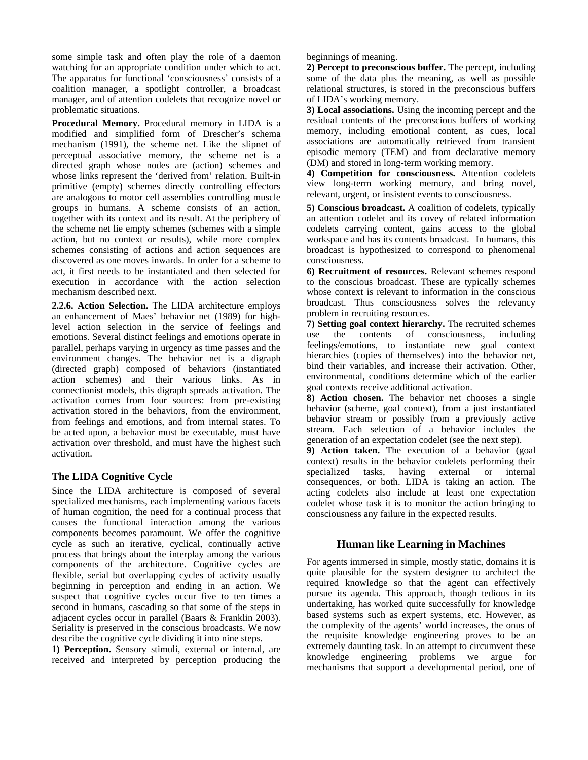some simple task and often play the role of a daemon watching for an appropriate condition under which to act. The apparatus for functional 'consciousness' consists of a coalition manager, a spotlight controller, a broadcast manager, and of attention codelets that recognize novel or problematic situations.

**Procedural Memory.** Procedural memory in LIDA is a modified and simplified form of Drescher's schema mechanism (1991), the scheme net. Like the slipnet of perceptual associative memory, the scheme net is a directed graph whose nodes are (action) schemes and whose links represent the 'derived from' relation. Built-in primitive (empty) schemes directly controlling effectors are analogous to motor cell assemblies controlling muscle groups in humans. A scheme consists of an action, together with its context and its result. At the periphery of the scheme net lie empty schemes (schemes with a simple action, but no context or results), while more complex schemes consisting of actions and action sequences are discovered as one moves inwards. In order for a scheme to act, it first needs to be instantiated and then selected for execution in accordance with the action selection mechanism described next.

**2.2.6. Action Selection.** The LIDA architecture employs an enhancement of Maes' behavior net (1989) for highlevel action selection in the service of feelings and emotions. Several distinct feelings and emotions operate in parallel, perhaps varying in urgency as time passes and the environment changes. The behavior net is a digraph (directed graph) composed of behaviors (instantiated action schemes) and their various links. As in connectionist models, this digraph spreads activation. The activation comes from four sources: from pre-existing activation stored in the behaviors, from the environment, from feelings and emotions, and from internal states. To be acted upon, a behavior must be executable, must have activation over threshold, and must have the highest such activation.

# **The LIDA Cognitive Cycle**

Since the LIDA architecture is composed of several specialized mechanisms, each implementing various facets of human cognition, the need for a continual process that causes the functional interaction among the various components becomes paramount. We offer the cognitive cycle as such an iterative, cyclical, continually active process that brings about the interplay among the various components of the architecture. Cognitive cycles are flexible, serial but overlapping cycles of activity usually beginning in perception and ending in an action. We suspect that cognitive cycles occur five to ten times a second in humans, cascading so that some of the steps in adjacent cycles occur in parallel (Baars & Franklin 2003). Seriality is preserved in the conscious broadcasts. We now describe the cognitive cycle dividing it into nine steps.

**1) Perception.** Sensory stimuli, external or internal, are received and interpreted by perception producing the beginnings of meaning.

**2) Percept to preconscious buffer.** The percept, including some of the data plus the meaning, as well as possible relational structures, is stored in the preconscious buffers of LIDA's working memory.

**3) Local associations.** Using the incoming percept and the residual contents of the preconscious buffers of working memory, including emotional content, as cues, local associations are automatically retrieved from transient episodic memory (TEM) and from declarative memory (DM) and stored in long-term working memory.

**4) Competition for consciousness.** Attention codelets view long-term working memory, and bring novel, relevant, urgent, or insistent events to consciousness.

**5) Conscious broadcast.** A coalition of codelets, typically an attention codelet and its covey of related information codelets carrying content, gains access to the global workspace and has its contents broadcast. In humans, this broadcast is hypothesized to correspond to phenomenal consciousness.

**6) Recruitment of resources.** Relevant schemes respond to the conscious broadcast. These are typically schemes whose context is relevant to information in the conscious broadcast. Thus consciousness solves the relevancy problem in recruiting resources.

**7) Setting goal context hierarchy.** The recruited schemes use the contents of consciousness, including feelings/emotions, to instantiate new goal context hierarchies (copies of themselves) into the behavior net, bind their variables, and increase their activation. Other, environmental, conditions determine which of the earlier goal contexts receive additional activation.

**8) Action chosen.** The behavior net chooses a single behavior (scheme, goal context), from a just instantiated behavior stream or possibly from a previously active stream. Each selection of a behavior includes the generation of an expectation codelet (see the next step).

**9) Action taken.** The execution of a behavior (goal context) results in the behavior codelets performing their<br>specialized tasks, having external or internal specialized tasks, having external or internal consequences, or both. LIDA is taking an action. The acting codelets also include at least one expectation codelet whose task it is to monitor the action bringing to consciousness any failure in the expected results.

# **Human like Learning in Machines**

For agents immersed in simple, mostly static, domains it is quite plausible for the system designer to architect the required knowledge so that the agent can effectively pursue its agenda. This approach, though tedious in its undertaking, has worked quite successfully for knowledge based systems such as expert systems, etc. However, as the complexity of the agents' world increases, the onus of the requisite knowledge engineering proves to be an extremely daunting task. In an attempt to circumvent these knowledge engineering problems we argue for mechanisms that support a developmental period, one of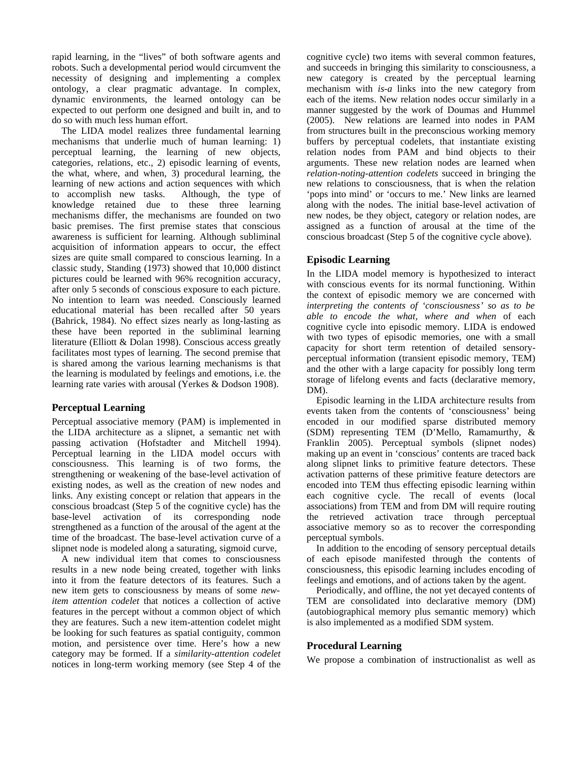rapid learning, in the "lives" of both software agents and robots. Such a developmental period would circumvent the necessity of designing and implementing a complex ontology, a clear pragmatic advantage. In complex, dynamic environments, the learned ontology can be expected to out perform one designed and built in, and to do so with much less human effort.

The LIDA model realizes three fundamental learning mechanisms that underlie much of human learning: 1) perceptual learning, the learning of new objects, categories, relations, etc., 2) episodic learning of events, the what, where, and when, 3) procedural learning, the learning of new actions and action sequences with which to accomplish new tasks. Although, the type of knowledge retained due to these three learning mechanisms differ, the mechanisms are founded on two basic premises. The first premise states that conscious awareness is sufficient for learning. Although subliminal acquisition of information appears to occur, the effect sizes are quite small compared to conscious learning. In a classic study, Standing (1973) showed that 10,000 distinct pictures could be learned with 96% recognition accuracy, after only 5 seconds of conscious exposure to each picture. No intention to learn was needed. Consciously learned educational material has been recalled after 50 years (Bahrick, 1984). No effect sizes nearly as long-lasting as these have been reported in the subliminal learning literature (Elliott & Dolan 1998). Conscious access greatly facilitates most types of learning. The second premise that is shared among the various learning mechanisms is that the learning is modulated by feelings and emotions, i.e. the learning rate varies with arousal (Yerkes & Dodson 1908).

# **Perceptual Learning**

Perceptual associative memory (PAM) is implemented in the LIDA architecture as a slipnet, a semantic net with passing activation (Hofstadter and Mitchell 1994). Perceptual learning in the LIDA model occurs with consciousness. This learning is of two forms, the strengthening or weakening of the base-level activation of existing nodes, as well as the creation of new nodes and links. Any existing concept or relation that appears in the conscious broadcast (Step 5 of the cognitive cycle) has the base-level activation of its corresponding node strengthened as a function of the arousal of the agent at the time of the broadcast. The base-level activation curve of a slipnet node is modeled along a saturating, sigmoid curve,

A new individual item that comes to consciousness results in a new node being created, together with links into it from the feature detectors of its features. Such a new item gets to consciousness by means of some *newitem attention codelet* that notices a collection of active features in the percept without a common object of which they are features. Such a new item-attention codelet might be looking for such features as spatial contiguity, common motion, and persistence over time. Here's how a new category may be formed. If a *similarity-attention codelet* notices in long-term working memory (see Step 4 of the cognitive cycle) two items with several common features, and succeeds in bringing this similarity to consciousness, a new category is created by the perceptual learning mechanism with *is-a* links into the new category from each of the items. New relation nodes occur similarly in a manner suggested by the work of Doumas and Hummel (2005). New relations are learned into nodes in PAM from structures built in the preconscious working memory buffers by perceptual codelets, that instantiate existing relation nodes from PAM and bind objects to their arguments. These new relation nodes are learned when *relation-noting-attention codelets* succeed in bringing the new relations to consciousness, that is when the relation 'pops into mind' or 'occurs to me.' New links are learned along with the nodes. The initial base-level activation of new nodes, be they object, category or relation nodes, are assigned as a function of arousal at the time of the conscious broadcast (Step 5 of the cognitive cycle above).

### **Episodic Learning**

In the LIDA model memory is hypothesized to interact with conscious events for its normal functioning. Within the context of episodic memory we are concerned with *interpreting the contents of 'consciousness' so as to be able to encode the what, where and when* of each cognitive cycle into episodic memory. LIDA is endowed with two types of episodic memories, one with a small capacity for short term retention of detailed sensoryperceptual information (transient episodic memory, TEM) and the other with a large capacity for possibly long term storage of lifelong events and facts (declarative memory, DM).

Episodic learning in the LIDA architecture results from events taken from the contents of 'consciousness' being encoded in our modified sparse distributed memory (SDM) representing TEM (D'Mello, Ramamurthy, & Franklin 2005). Perceptual symbols (slipnet nodes) making up an event in 'conscious' contents are traced back along slipnet links to primitive feature detectors. These activation patterns of these primitive feature detectors are encoded into TEM thus effecting episodic learning within each cognitive cycle. The recall of events (local associations) from TEM and from DM will require routing the retrieved activation trace through perceptual associative memory so as to recover the corresponding perceptual symbols.

In addition to the encoding of sensory perceptual details of each episode manifested through the contents of consciousness, this episodic learning includes encoding of feelings and emotions, and of actions taken by the agent.

Periodically, and offline, the not yet decayed contents of TEM are consolidated into declarative memory (DM) (autobiographical memory plus semantic memory) which is also implemented as a modified SDM system.

#### **Procedural Learning**

We propose a combination of instructionalist as well as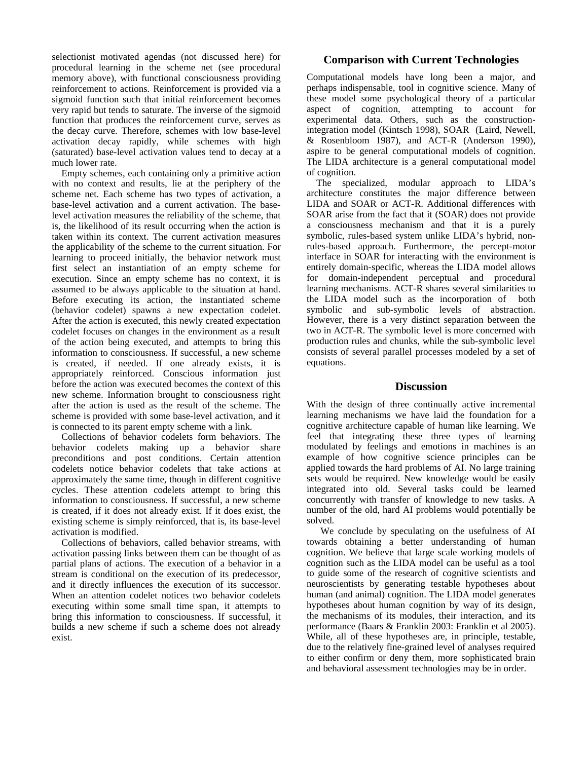selectionist motivated agendas (not discussed here) for procedural learning in the scheme net (see procedural memory above), with functional consciousness providing reinforcement to actions. Reinforcement is provided via a sigmoid function such that initial reinforcement becomes very rapid but tends to saturate. The inverse of the sigmoid function that produces the reinforcement curve, serves as the decay curve. Therefore, schemes with low base-level activation decay rapidly, while schemes with high (saturated) base-level activation values tend to decay at a much lower rate.

Empty schemes, each containing only a primitive action with no context and results, lie at the periphery of the scheme net. Each scheme has two types of activation, a base-level activation and a current activation. The baselevel activation measures the reliability of the scheme, that is, the likelihood of its result occurring when the action is taken within its context. The current activation measures the applicability of the scheme to the current situation. For learning to proceed initially, the behavior network must first select an instantiation of an empty scheme for execution. Since an empty scheme has no context, it is assumed to be always applicable to the situation at hand. Before executing its action, the instantiated scheme (behavior codelet) spawns a new expectation codelet. After the action is executed, this newly created expectation codelet focuses on changes in the environment as a result of the action being executed, and attempts to bring this information to consciousness. If successful, a new scheme is created, if needed. If one already exists, it is appropriately reinforced. Conscious information just before the action was executed becomes the context of this new scheme. Information brought to consciousness right after the action is used as the result of the scheme. The scheme is provided with some base-level activation, and it is connected to its parent empty scheme with a link.

Collections of behavior codelets form behaviors. The behavior codelets making up a behavior share preconditions and post conditions. Certain attention codelets notice behavior codelets that take actions at approximately the same time, though in different cognitive cycles. These attention codelets attempt to bring this information to consciousness. If successful, a new scheme is created, if it does not already exist. If it does exist, the existing scheme is simply reinforced, that is, its base-level activation is modified.

Collections of behaviors, called behavior streams, with activation passing links between them can be thought of as partial plans of actions. The execution of a behavior in a stream is conditional on the execution of its predecessor, and it directly influences the execution of its successor. When an attention codelet notices two behavior codelets executing within some small time span, it attempts to bring this information to consciousness. If successful, it builds a new scheme if such a scheme does not already exist.

# **Comparison with Current Technologies**

Computational models have long been a major, and perhaps indispensable, tool in cognitive science. Many of these model some psychological theory of a particular aspect of cognition, attempting to account for experimental data. Others, such as the constructionintegration model (Kintsch 1998), SOAR (Laird, Newell, & Rosenbloom 1987), and ACT-R (Anderson 1990), aspire to be general computational models of cognition. The LIDA architecture is a general computational model of cognition.

The specialized, modular approach to LIDA's architecture constitutes the major difference between LIDA and SOAR or ACT-R. Additional differences with SOAR arise from the fact that it (SOAR) does not provide a consciousness mechanism and that it is a purely symbolic, rules-based system unlike LIDA's hybrid, nonrules-based approach. Furthermore, the percept-motor interface in SOAR for interacting with the environment is entirely domain-specific, whereas the LIDA model allows for domain-independent perceptual and procedural learning mechanisms. ACT-R shares several similarities to the LIDA model such as the incorporation of both symbolic and sub-symbolic levels of abstraction. However, there is a very distinct separation between the two in ACT-R. The symbolic level is more concerned with production rules and chunks, while the sub-symbolic level consists of several parallel processes modeled by a set of equations.

# **Discussion**

With the design of three continually active incremental learning mechanisms we have laid the foundation for a cognitive architecture capable of human like learning. We feel that integrating these three types of learning modulated by feelings and emotions in machines is an example of how cognitive science principles can be applied towards the hard problems of AI. No large training sets would be required. New knowledge would be easily integrated into old. Several tasks could be learned concurrently with transfer of knowledge to new tasks. A number of the old, hard AI problems would potentially be solved.

We conclude by speculating on the usefulness of AI towards obtaining a better understanding of human cognition. We believe that large scale working models of cognition such as the LIDA model can be useful as a tool to guide some of the research of cognitive scientists and neuroscientists by generating testable hypotheses about human (and animal) cognition. The LIDA model generates hypotheses about human cognition by way of its design, the mechanisms of its modules, their interaction, and its performance (Baars & Franklin 2003: Franklin et al 2005). While, all of these hypotheses are, in principle, testable, due to the relatively fine-grained level of analyses required to either confirm or deny them, more sophisticated brain and behavioral assessment technologies may be in order.